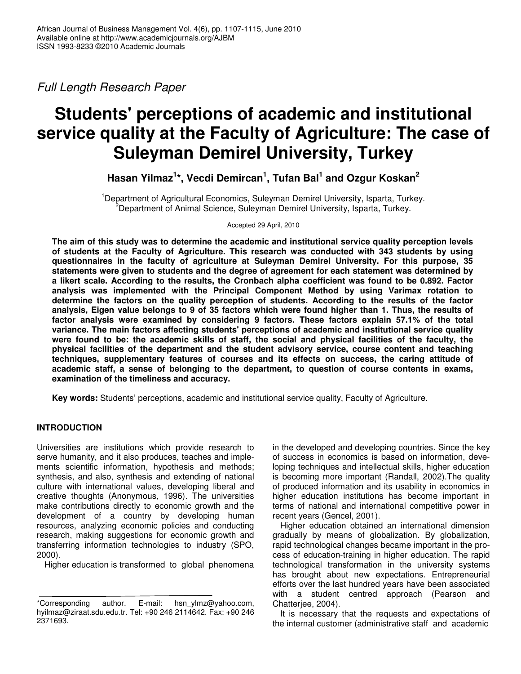*Full Length Research Paper*

# **Students' perceptions of academic and institutional service quality at the Faculty of Agriculture: The case of Suleyman Demirel University, Turkey**

**Hasan Yilmaz 1 \*, Vecdi Demircan 1 , Tufan Bal 1 and Ozgur Koskan 2**

<sup>1</sup>Department of Agricultural Economics, Suleyman Demirel University, Isparta, Turkey. <sup>2</sup>Department of Animal Science, Suleyman Demirel University, Isparta, Turkey.

Accepted 29 April, 2010

**The aim of this study was to determine the academic and institutional service quality perception levels of students at the Faculty of Agriculture. This research was conducted with 343 students by using questionnaires in the faculty of agriculture at Suleyman Demirel University. For this purpose, 35 statements were given to students and the degree of agreement for each statement was determined by a likert scale. According to the results, the Cronbach alpha coefficient was found to be 0.892. Factor analysis was implemented with the Principal Component Method by using Varimax rotation to determine the factors on the quality perception of students. According to the results of the factor** analysis, Eigen value belongs to 9 of 35 factors which were found higher than 1. Thus, the results of **factor analysis were examined by considering 9 factors. These factors explain 57.1% of the total variance. The main factors affecting students' perceptions of academic and institutional service quality** were found to be: the academic skills of staff, the social and physical facilities of the faculty, the **physical facilities of the department and the student advisory service, course content and teaching techniques, supplementary features of courses and its effects on success, the caring attitude of academic staff, a sense of belonging to the department, to question of course contents in exams, examination of the timeliness and accuracy.**

**Key words:** Students' perceptions, academic and institutional service quality, Faculty of Agriculture.

## **INTRODUCTION**

Universities are institutions which provide research to serve humanity, and it also produces, teaches and implements scientific information, hypothesis and methods; synthesis, and also, synthesis and extending of national culture with international values, developing liberal and creative thoughts (Anonymous, 1996). The universities make contributions directly to economic growth and the development of a country by developing human resources, analyzing economic policies and conducting research, making suggestions for economic growth and transferring information technologies to industry (SPO, 2000).

Higher education is transformed to global phenomena

in the developed and developing countries. Since the key of success in economics is based on information, developing techniques and intellectual skills, higher education is becoming more important (Randall, 2002).The quality of produced information and its usability in economics in higher education institutions has become important in terms of national and international competitive power in recent years (Gencel, 2001).

Higher education obtained an international dimension gradually by means of globalization. By globalization, rapid technological changes became important in the process of education-training in higher education. The rapid technological transformation in the university systems has brought about new expectations. Entrepreneurial efforts over the last hundred years have been associated with a student centred approach (Pearson and Chatterjee, 2004).

It is necessary that the requests and expectations of the internal customer (administrative staff and academic

<sup>\*</sup>Corresponding author. E-mail: hsn\_ylmz@yahoo.com, hyilmaz@ziraat.sdu.edu.tr. Tel: +90 246 2114642. Fax: +90 246 2371693.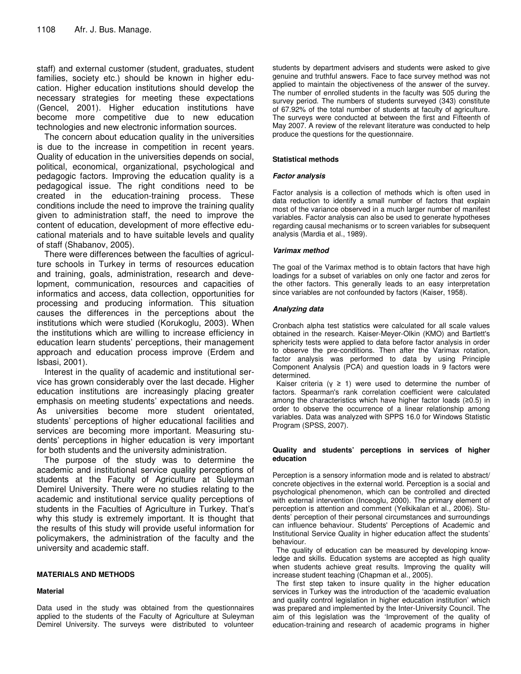staff) and external customer (student, graduates, student families, society etc.) should be known in higher education. Higher education institutions should develop the necessary strategies for meeting these expectations (Gencel, 2001). Higher education institutions have become more competitive due to new education technologies and new electronic information sources.

The concern about education quality in the universities is due to the increase in competition in recent years. Quality of education in the universities depends on social, political, economical, organizational, psychological and pedagogic factors. Improving the education quality is a pedagogical issue. The right conditions need to be created in the education-training process. These conditions include the need to improve the training quality given to administration staff, the need to improve the content of education, development of more effective educational materials and to have suitable levels and quality of staff (Shabanov, 2005).

There were differences between the faculties of agriculture schools in Turkey in terms of resources education and training, goals, administration, research and development, communication, resources and capacities of informatics and access, data collection, opportunities for processing and producing information. This situation causes the differences in the perceptions about the institutions which were studied (Korukoglu, 2003). When the institutions which are willing to increase efficiency in education learn students' perceptions, their management approach and education process improve (Erdem and Isbasi, 2001).

Interest in the quality of academic and institutional service has grown considerably over the last decade. Higher education institutions are increasingly placing greater emphasis on meeting students' expectations and needs. As universities become more student orientated, students' perceptions of higher educational facilities and services are becoming more important. Measuring students' perceptions in higher education is very important for both students and the university administration.

The purpose of the study was to determine the academic and institutional service quality perceptions of students at the Faculty of Agriculture at Suleyman Demirel University. There were no studies relating to the academic and institutional service quality perceptions of students in the Faculties of Agriculture in Turkey. That's why this study is extremely important. It is thought that the results of this study will provide useful information for policymakers, the administration of the faculty and the university and academic staff.

## **MATERIALS AND METHODS**

#### **Material**

Data used in the study was obtained from the questionnaires applied to the students of the Faculty of Agriculture at Suleyman Demirel University. The surveys were distributed to volunteer students by department advisers and students were asked to give genuine and truthful answers. Face to face survey method was not applied to maintain the objectiveness of the answer of the survey. The number of enrolled students in the faculty was 505 during the survey period. The numbers of students surveyed (343) constitute of 67.92% of the total number of students at faculty of agriculture. The surveys were conducted at between the first and Fifteenth of May 2007. A review of the relevant literature was conducted to help produce the questions for the questionnaire.

#### **Statistical methods**

#### *Factor analysis*

Factor analysis is a collection of methods which is often used in data reduction to identify a small number of factors that explain most of the variance observed in a much larger number of manifest variables. Factor analysis can also be used to generate hypotheses regarding causal mechanisms or to screen variables for subsequent analysis (Mardia et al., 1989).

#### *Varimax method*

The goal of the Varimax method is to obtain factors that have high loadings for a subset of variables on only one factor and zeros for the other factors. This generally leads to an easy interpretation since variables are not confounded by factors (Kaiser, 1958).

#### *Analyzing data*

Cronbach alpha test statistics were calculated for all scale values obtained in the research. Kaiser-Meyer-Olkin (KMO) and Bartlett's sphericity tests were applied to data before factor analysis in order to observe the pre-conditions. Then after the Varimax rotation, factor analysis was performed to data by using Principle Component Analysis (PCA) and question loads in 9 factors were determined.

Kaiser criteria ( $y \geq 1$ ) were used to determine the number of factors. Spearman's rank correlation coefficient were calculated among the characteristics which have higher factor loads  $(≥0.5)$  in order to observe the occurrence of a linear relationship among variables. Data was analyzed with SPPS 16.0 for Windows Statistic Program (SPSS, 2007).

#### **Quality and students' perceptions in services of higher education**

Perception is a sensory information mode and is related to abstract/ concrete objectives in the external world. Perception is a social and psychological phenomenon, which can be controlled and directed with external intervention (Inceoglu, 2000). The primary element of perception is attention and comment (Yelkikalan et al., 2006). Students' perception of their personal circumstances and surroundings can influence behaviour. Students' Perceptions of Academic and Institutional Service Quality in higher education affect the students' behaviour.

The quality of education can be measured by developing knowledge and skills. Education systems are accepted as high quality when students achieve great results. Improving the quality will increase student teaching (Chapman et al., 2005).

The first step taken to insure quality in the higher education services in Turkey was the introduction of the 'academic evaluation and quality control legislation in higher education institution' which was prepared and implemented by the Inter-University Council. The aim of this legislation was the 'Improvement of the quality of education-training and research of academic programs in higher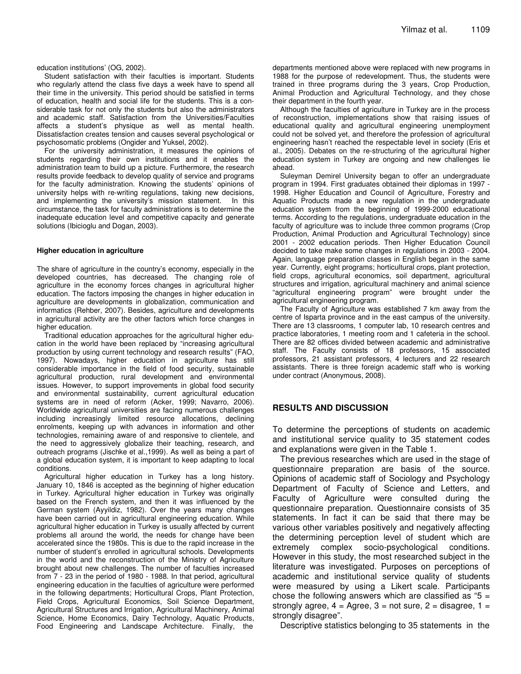education institutions' (OG, 2002).

Student satisfaction with their faculties is important. Students who regularly attend the class five days a week have to spend all their time in the university. This period should be satisfied in terms of education, health and social life for the students. This is a considerable task for not only the students but also the administrators and academic staff. Satisfaction from the Universities/Faculties affects a student's physique as well as mental health. Dissatisfaction creates tension and causes several psychological or psychosomatic problems (Ongider and Yuksel, 2002).

For the university administration, it measures the opinions of students regarding their own institutions and it enables the administration team to build up a picture. Furthermore, the research results provide feedback to develop quality of service and programs for the faculty administration. Knowing the students' opinions of university helps with re-writing regulations, taking new decisions, and implementing the university's mission statement. In this circumstance, the task for faculty administrations is to determine the inadequate education level and competitive capacity and generate solutions (Ibicioglu and Dogan, 2003).

#### **Higher education in agriculture**

The share of agriculture in the country's economy, especially in the developed countries, has decreased. The changing role of agriculture in the economy forces changes in agricultural higher education. The factors imposing the changes in higher education in agriculture are developments in globalization, communication and informatics (Rehber, 2007). Besides, agriculture and developments in agricultural activity are the other factors which force changes in higher education.

Traditional education approaches for the agricultural higher education in the world have been replaced by "increasing agricultural production by using current technology and research results" (FAO, 1997). Nowadays, higher education in agriculture has still considerable importance in the field of food security, sustainable agricultural production, rural development and environmental issues. However, to support improvements in global food security and environmental sustainability, current agricultural education systems are in need of reform (Acker, 1999; Navarro, 2006). Worldwide agricultural universities are facing numerous challenges including increasingly limited resource allocations, declining enrolments, keeping up with advances in information and other technologies, remaining aware of and responsive to clientele, and the need to aggressively globalize their teaching, research, and outreach programs (Jischke et al.,1999). As well as being a part of a global education system, it is important to keep adapting to local conditions.

Agricultural higher education in Turkey has a long history. January 10, 1846 is accepted as the beginning of higher education in Turkey. Agricultural higher education in Turkey was originally based on the French system, and then it was influenced by the German system (Ayyildiz, 1982). Over the years many changes have been carried out in agricultural engineering education. While agricultural higher education in Turkey is usually affected by current problems all around the world, the needs for change have been accelerated since the 1980s. This is due to the rapid increase in the number of student's enrolled in agricultural schools. Developments in the world and the reconstruction of the Ministry of Agriculture brought about new challenges. The number of faculties increased from 7 - 23 in the period of 1980 - 1988. In that period, agricultural engineering education in the faculties of agriculture were performed in the following departments; Horticultural Crops, Plant Protection, Field Crops, Agricultural Economics, Soil Science Department, Agricultural Structures and Irrigation, Agricultural Machinery, Animal Science, Home Economics, Dairy Technology, Aquatic Products, Food Engineering and Landscape Architecture. Finally, the

departments mentioned above were replaced with new programs in 1988 for the purpose of redevelopment. Thus, the students were trained in three programs during the 3 years, Crop Production, Animal Production and Agricultural Technology, and they chose their department in the fourth year.

Although the faculties of agriculture in Turkey are in the process of reconstruction, implementations show that raising issues of educational quality and agricultural engineering unemployment could not be solved yet, and therefore the profession of agricultural engineering hasn't reached the respectable level in society (Eris et al., 2005). Debates on the re-structuring of the agricultural higher education system in Turkey are ongoing and new challenges lie ahead.

Suleyman Demirel University began to offer an undergraduate program in 1994. First graduates obtained their diplomas in 1997 - 1998. Higher Education and Council of Agriculture, Forestry and Aquatic Products made a new regulation in the undergraduate education system from the beginning of 1999-2000 educational terms. According to the regulations, undergraduate education in the faculty of agriculture was to include three common programs (Crop Production, Animal Production and Agricultural Technology) since 2001 - 2002 education periods. Then Higher Education Council decided to take make some changes in regulations in 2003 - 2004. Again, language preparation classes in English began in the same year. Currently, eight programs; horticultural crops, plant protection, field crops, agricultural economics, soil department, agricultural structures and irrigation, agricultural machinery and animal science "agricultural engineering program" were brought under the agricultural engineering program.

The Faculty of Agriculture was established 7 km away from the centre of Isparta province and in the east campus of the university. There are 13 classrooms, 1 computer lab, 10 research centres and practice laboratories, 1 meeting room and 1 cafeteria in the school. There are 82 offices divided between academic and administrative staff. The Faculty consists of 18 professors, 15 associated professors, 21 assistant professors, 4 lecturers and 22 research assistants. There is three foreign academic staff who is working under contract (Anonymous, 2008).

## **RESULTS AND DISCUSSION**

To determine the perceptions of students on academic and institutional service quality to 35 statement codes and explanations were given in the Table 1.

The previous researches which are used in the stage of questionnaire preparation are basis of the source. Opinions of academic staff of Sociology and Psychology Department of Faculty of Science and Letters, and Faculty of Agriculture were consulted during the questionnaire preparation. Questionnaire consists of 35 statements. In fact it can be said that there may be various other variables positively and negatively affecting the determining perception level of student which are extremely complex socio-psychological conditions. However in this study, the most researched subject in the literature was investigated. Purposes on perceptions of academic and institutional service quality of students were measured by using a Likert scale. Participants chose the following answers which are classified as " $5 =$ strongly agree,  $4 = \text{Agree}$ ,  $3 = \text{not sure}$ ,  $2 = \text{disagree}$ ,  $1 =$ strongly disagree".

Descriptive statistics belonging to 35 statements in the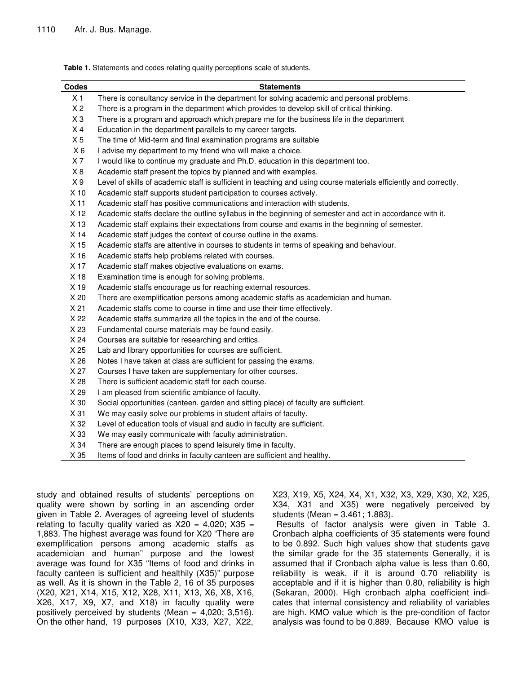**Table 1.** Statements and codes relating quality perceptions scale of students.

| Codes          | <b>Statements</b>                                                                                                 |
|----------------|-------------------------------------------------------------------------------------------------------------------|
| X <sub>1</sub> | There is consultancy service in the department for solving academic and personal problems.                        |
| X <sub>2</sub> | There is a program in the department which provides to develop skill of critical thinking.                        |
| $X_3$          | There is a program and approach which prepare me for the business life in the department                          |
| X <sub>4</sub> | Education in the department parallels to my career targets.                                                       |
| X <sub>5</sub> | The time of Mid-term and final examination programs are suitable                                                  |
| $X_6$          | I advise my department to my friend who will make a choice.                                                       |
| X <sub>7</sub> | I would like to continue my graduate and Ph.D. education in this department too.                                  |
| X8             | Academic staff present the topics by planned and with examples.                                                   |
| X <sub>9</sub> | Level of skills of academic staff is sufficient in teaching and using course materials efficiently and correctly. |
| X 10           | Academic staff supports student participation to courses actively.                                                |
| X 11           | Academic staff has positive communications and interaction with students.                                         |
| X 12           | Academic staffs declare the outline syllabus in the beginning of semester and act in accordance with it.          |
| X 13           | Academic staff explains their expectations from course and exams in the beginning of semester.                    |
| X 14           | Academic staff judges the context of course outline in the exams.                                                 |
| X 15           | Academic staffs are attentive in courses to students in terms of speaking and behaviour.                          |
| X 16           | Academic staffs help problems related with courses.                                                               |
| X 17           | Academic staff makes objective evaluations on exams.                                                              |
| X 18           | Examination time is enough for solving problems.                                                                  |
| X 19           | Academic staffs encourage us for reaching external resources.                                                     |
| X 20           | There are exemplification persons among academic staffs as academician and human.                                 |
| X 21           | Academic staffs come to course in time and use their time effectively.                                            |
| X 22           | Academic staffs summarize all the topics in the end of the course.                                                |
| X 23           | Fundamental course materials may be found easily.                                                                 |
| X 24           | Courses are suitable for researching and critics.                                                                 |
| X 25           | Lab and library opportunities for courses are sufficient.                                                         |
| X 26           | Notes I have taken at class are sufficient for passing the exams.                                                 |
| X 27           | Courses I have taken are supplementary for other courses.                                                         |
| X 28           | There is sufficient academic staff for each course.                                                               |
| X 29           | I am pleased from scientific ambiance of faculty.                                                                 |
| X 30           | Social opportunities (canteen. garden and sitting place) of faculty are sufficient.                               |
| X 31           | We may easily solve our problems in student affairs of faculty.                                                   |
| X 32           | Level of education tools of visual and audio in faculty are sufficient.                                           |
| X 33           | We may easily communicate with faculty administration.                                                            |
| X 34           | There are enough places to spend leisurely time in faculty.                                                       |
| X 35           | Items of food and drinks in faculty canteen are sufficient and healthy.                                           |

study and obtained results of students' perceptions on quality were shown by sorting in an ascending order given in Table 2. Averages of agreeing level of students relating to faculty quality varied as  $X20 = 4,020$ ;  $X35 =$ 1,883. The highest average was found for X20 "There are exemplification persons among academic staffs as academician and human" purpose and the lowest average was found for X35 "Items of food and drinks in faculty canteen is sufficient and healthily (X35)" purpose as well. As it is shown in the Table 2, 16 of 35 purposes (X20, X21, X14, X15, X12, X28, X11, X13, X6, X8, X16, X26, X17, X9, X7, and X18) in faculty quality were positively perceived by students (Mean =  $4,020$ ; 3,516). On the other hand, 19 purposes (X10, X33, X27, X22,

X23, X19, X5, X24, X4, X1, X32, X3, X29, X30, X2, X25, X34, X31 and X35) were negatively perceived by students (Mean = 3.461; 1.883).

Results of factor analysis were given in Table 3. Cronbach alpha coefficients of 35 statements were found to be 0.892. Such high values show that students gave the similar grade for the 35 statements Generally, it is assumed that if Cronbach alpha value is less than 0.60, reliability is weak, if it is around 0.70 reliability is acceptable and if it is higher than 0.80, reliability is high (Sekaran, 2000). High cronbach alpha coefficient indicates that internal consistency and reliability of variables are high. KMO value which is the pre-condition of factor analysis was found to be 0.889. Because KMO value is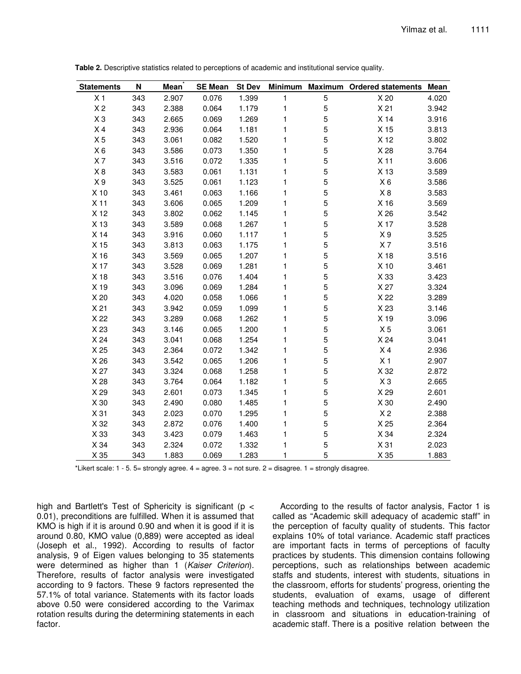| <b>Statements</b> | N   | <b>Mean</b> | <b>SE Mean</b> | <b>St Dev</b> | <b>Minimum</b> |                | Maximum Ordered statements Mean |       |
|-------------------|-----|-------------|----------------|---------------|----------------|----------------|---------------------------------|-------|
| X <sub>1</sub>    | 343 | 2.907       | 0.076          | 1.399         | $\mathbf{1}$   | $\overline{5}$ | X 20                            | 4.020 |
| X <sub>2</sub>    | 343 | 2.388       | 0.064          | 1.179         | 1              | 5              | X <sub>21</sub>                 | 3.942 |
| $X_3$             | 343 | 2.665       | 0.069          | 1.269         | 1              | 5              | X 14                            | 3.916 |
| X <sub>4</sub>    | 343 | 2.936       | 0.064          | 1.181         | 1              | 5              | X 15                            | 3.813 |
| X <sub>5</sub>    | 343 | 3.061       | 0.082          | 1.520         | 1              | 5              | X 12                            | 3.802 |
| $X_6$             | 343 | 3.586       | 0.073          | 1.350         | 1              | 5              | X 28                            | 3.764 |
| X <sub>7</sub>    | 343 | 3.516       | 0.072          | 1.335         | 1              | 5              | X <sub>11</sub>                 | 3.606 |
| X8                | 343 | 3.583       | 0.061          | 1.131         | 1              | 5              | X 13                            | 3.589 |
| X <sub>9</sub>    | 343 | 3.525       | 0.061          | 1.123         | 1              | 5              | $X_6$                           | 3.586 |
| $X$ 10            | 343 | 3.461       | 0.063          | 1.166         | 1              | 5              | $\times$ 8                      | 3.583 |
| X 11              | 343 | 3.606       | 0.065          | 1.209         | 1              | 5              | X 16                            | 3.569 |
| X 12              | 343 | 3.802       | 0.062          | 1.145         | 1              | 5              | X 26                            | 3.542 |
| X 13              | 343 | 3.589       | 0.068          | 1.267         | 1              | 5              | X 17                            | 3.528 |
| X 14              | 343 | 3.916       | 0.060          | 1.117         | 1              | 5              | X <sub>9</sub>                  | 3.525 |
| X 15              | 343 | 3.813       | 0.063          | 1.175         | 1              | 5              | X <sub>7</sub>                  | 3.516 |
| X 16              | 343 | 3.569       | 0.065          | 1.207         | 1              | 5              | X 18                            | 3.516 |
| X 17              | 343 | 3.528       | 0.069          | 1.281         | 1              | 5              | X 10                            | 3.461 |
| X 18              | 343 | 3.516       | 0.076          | 1.404         | 1              | 5              | X 33                            | 3.423 |
| X 19              | 343 | 3.096       | 0.069          | 1.284         | 1              | 5              | X 27                            | 3.324 |
| X 20              | 343 | 4.020       | 0.058          | 1.066         | 1              | 5              | X 22                            | 3.289 |
| X <sub>21</sub>   | 343 | 3.942       | 0.059          | 1.099         | 1              | 5              | X 23                            | 3.146 |
| X 22              | 343 | 3.289       | 0.068          | 1.262         | 1              | 5              | X 19                            | 3.096 |
| X 23              | 343 | 3.146       | 0.065          | 1.200         | 1              | 5              | X <sub>5</sub>                  | 3.061 |
| X 24              | 343 | 3.041       | 0.068          | 1.254         | 1              | 5              | X 24                            | 3.041 |
| X 25              | 343 | 2.364       | 0.072          | 1.342         | 1              | 5              | X <sub>4</sub>                  | 2.936 |
| X 26              | 343 | 3.542       | 0.065          | 1.206         | 1              | 5              | X <sub>1</sub>                  | 2.907 |
| X 27              | 343 | 3.324       | 0.068          | 1.258         | 1              | 5              | X 32                            | 2.872 |
| X 28              | 343 | 3.764       | 0.064          | 1.182         | 1              | 5              | $X_3$                           | 2.665 |
| X 29              | 343 | 2.601       | 0.073          | 1.345         | 1              | 5              | X 29                            | 2.601 |
| X 30              | 343 | 2.490       | 0.080          | 1.485         | 1              | 5              | X 30                            | 2.490 |
| X 31              | 343 | 2.023       | 0.070          | 1.295         | $\mathbf{1}$   | 5              | X <sub>2</sub>                  | 2.388 |
| X 32              | 343 | 2.872       | 0.076          | 1.400         | 1              | 5              | X 25                            | 2.364 |
| X 33              | 343 | 3.423       | 0.079          | 1.463         | 1              | 5              | X 34                            | 2.324 |
| X 34              | 343 | 2.324       | 0.072          | 1.332         | 1              | 5              | X <sub>31</sub>                 | 2.023 |
| X 35              | 343 | 1.883       | 0.069          | 1.283         | 1              | 5              | X 35                            | 1.883 |

**Table 2.** Descriptive statistics related to perceptions of academic and institutional service quality.

\*Likert scale:  $1 - 5$ .  $5 =$  strongly agree.  $4 =$  agree.  $3 =$  not sure.  $2 =$  disagree.  $1 =$  strongly disagree.

high and Bartlett's Test of Sphericity is significant ( $p <$ 0.01), preconditions are fulfilled. When it is assumed that KMO is high if it is around 0.90 and when it is good if it is around 0.80, KMO value (0,889) were accepted as ideal (Joseph et al., 1992). According to results of factor analysis, 9 of Eigen values belonging to 35 statements were determined as higher than 1 (*Kaiser Criterion*). Therefore, results of factor analysis were investigated according to 9 factors. These 9 factors represented the 57.1% of total variance. Statements with its factor loads above 0.50 were considered according to the Varimax rotation results during the determining statements in each factor.

According to the results of factor analysis, Factor 1 is called as "Academic skill adequacy of academic staff" in the perception of faculty quality of students. This factor explains 10% of total variance. Academic staff practices are important facts in terms of perceptions of faculty practices by students. This dimension contains following perceptions, such as relationships between academic staffs and students, interest with students, situations in the classroom, efforts for students' progress, orienting the students, evaluation of exams, usage of different teaching methods and techniques, technology utilization in classroom and situations in education-training of academic staff. There is a positive relation between the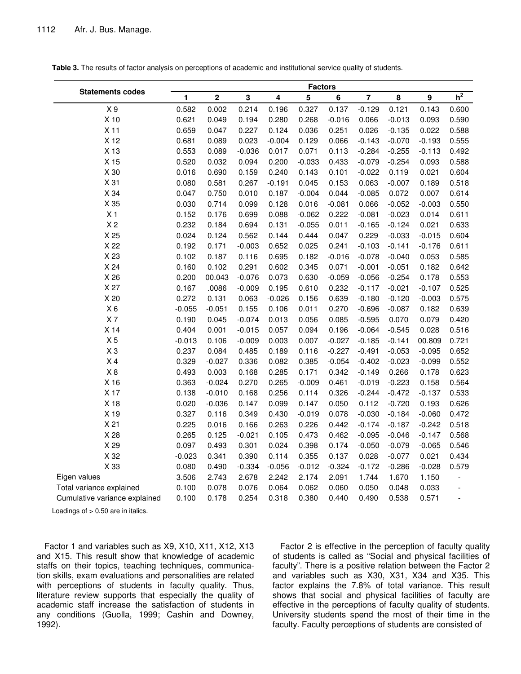|                               | <b>Factors</b> |             |          |          |          |          |                |          |          |                |
|-------------------------------|----------------|-------------|----------|----------|----------|----------|----------------|----------|----------|----------------|
| <b>Statements codes</b>       | 1              | $\mathbf 2$ | 3        | 4        | 5        | 6        | $\overline{7}$ | 8        | 9        | $h^2$          |
| X <sub>9</sub>                | 0.582          | 0.002       | 0.214    | 0.196    | 0.327    | 0.137    | $-0.129$       | 0.121    | 0.143    | 0.600          |
| X 10                          | 0.621          | 0.049       | 0.194    | 0.280    | 0.268    | $-0.016$ | 0.066          | $-0.013$ | 0.093    | 0.590          |
| X <sub>11</sub>               | 0.659          | 0.047       | 0.227    | 0.124    | 0.036    | 0.251    | 0.026          | $-0.135$ | 0.022    | 0.588          |
| X 12                          | 0.681          | 0.089       | 0.023    | $-0.004$ | 0.129    | 0.066    | $-0.143$       | $-0.070$ | $-0.193$ | 0.555          |
| X 13                          | 0.553          | 0.089       | $-0.036$ | 0.017    | 0.071    | 0.113    | $-0.284$       | $-0.255$ | $-0.113$ | 0.492          |
| X 15                          | 0.520          | 0.032       | 0.094    | 0.200    | $-0.033$ | 0.433    | $-0.079$       | $-0.254$ | 0.093    | 0.588          |
| X 30                          | 0.016          | 0.690       | 0.159    | 0.240    | 0.143    | 0.101    | $-0.022$       | 0.119    | 0.021    | 0.604          |
| X 31                          | 0.080          | 0.581       | 0.267    | $-0.191$ | 0.045    | 0.153    | 0.063          | $-0.007$ | 0.189    | 0.518          |
| X 34                          | 0.047          | 0.750       | 0.010    | 0.187    | $-0.004$ | 0.044    | $-0.085$       | 0.072    | 0.007    | 0.614          |
| X 35                          | 0.030          | 0.714       | 0.099    | 0.128    | 0.016    | $-0.081$ | 0.066          | $-0.052$ | $-0.003$ | 0.550          |
| X <sub>1</sub>                | 0.152          | 0.176       | 0.699    | 0.088    | $-0.062$ | 0.222    | $-0.081$       | $-0.023$ | 0.014    | 0.611          |
| X <sub>2</sub>                | 0.232          | 0.184       | 0.694    | 0.131    | $-0.055$ | 0.011    | $-0.165$       | $-0.124$ | 0.021    | 0.633          |
| X 25                          | 0.024          | 0.124       | 0.562    | 0.144    | 0.444    | 0.047    | 0.229          | $-0.033$ | $-0.015$ | 0.604          |
| X 22                          | 0.192          | 0.171       | $-0.003$ | 0.652    | 0.025    | 0.241    | $-0.103$       | $-0.141$ | $-0.176$ | 0.611          |
| X 23                          | 0.102          | 0.187       | 0.116    | 0.695    | 0.182    | $-0.016$ | $-0.078$       | $-0.040$ | 0.053    | 0.585          |
| X 24                          | 0.160          | 0.102       | 0.291    | 0.602    | 0.345    | 0.071    | $-0.001$       | $-0.051$ | 0.182    | 0.642          |
| X 26                          | 0.200          | 00.043      | $-0.076$ | 0.073    | 0.630    | $-0.059$ | $-0.056$       | $-0.254$ | 0.178    | 0.553          |
| X 27                          | 0.167          | .0086       | $-0.009$ | 0.195    | 0.610    | 0.232    | $-0.117$       | $-0.021$ | $-0.107$ | 0.525          |
| X 20                          | 0.272          | 0.131       | 0.063    | $-0.026$ | 0.156    | 0.639    | $-0.180$       | $-0.120$ | $-0.003$ | 0.575          |
| $X_6$                         | $-0.055$       | $-0.051$    | 0.155    | 0.106    | 0.011    | 0.270    | $-0.696$       | $-0.087$ | 0.182    | 0.639          |
| X <sub>7</sub>                | 0.190          | 0.045       | $-0.074$ | 0.013    | 0.056    | 0.085    | $-0.595$       | 0.070    | 0.079    | 0.420          |
| X <sub>14</sub>               | 0.404          | 0.001       | $-0.015$ | 0.057    | 0.094    | 0.196    | $-0.064$       | $-0.545$ | 0.028    | 0.516          |
| X <sub>5</sub>                | $-0.013$       | 0.106       | $-0.009$ | 0.003    | 0.007    | $-0.027$ | $-0.185$       | $-0.141$ | 00.809   | 0.721          |
| $X_3$                         | 0.237          | 0.084       | 0.485    | 0.189    | 0.116    | $-0.227$ | $-0.491$       | $-0.053$ | $-0.095$ | 0.652          |
| X <sub>4</sub>                | 0.329          | $-0.027$    | 0.336    | 0.082    | 0.385    | $-0.054$ | $-0.402$       | $-0.023$ | $-0.099$ | 0.552          |
| X8                            | 0.493          | 0.003       | 0.168    | 0.285    | 0.171    | 0.342    | $-0.149$       | 0.266    | 0.178    | 0.623          |
| X 16                          | 0.363          | $-0.024$    | 0.270    | 0.265    | $-0.009$ | 0.461    | $-0.019$       | $-0.223$ | 0.158    | 0.564          |
| X 17                          | 0.138          | $-0.010$    | 0.168    | 0.256    | 0.114    | 0.326    | $-0.244$       | $-0.472$ | $-0.137$ | 0.533          |
| X 18                          | 0.020          | $-0.036$    | 0.147    | 0.099    | 0.147    | 0.050    | 0.112          | $-0.720$ | 0.193    | 0.626          |
| X 19                          | 0.327          | 0.116       | 0.349    | 0.430    | $-0.019$ | 0.078    | $-0.030$       | $-0.184$ | $-0.060$ | 0.472          |
| X <sub>21</sub>               | 0.225          | 0.016       | 0.166    | 0.263    | 0.226    | 0.442    | $-0.174$       | $-0.187$ | $-0.242$ | 0.518          |
| X 28                          | 0.265          | 0.125       | $-0.021$ | 0.105    | 0.473    | 0.462    | $-0.095$       | $-0.046$ | $-0.147$ | 0.568          |
| X 29                          | 0.097          | 0.493       | 0.301    | 0.024    | 0.398    | 0.174    | $-0.050$       | $-0.079$ | $-0.065$ | 0.546          |
| X 32                          | $-0.023$       | 0.341       | 0.390    | 0.114    | 0.355    | 0.137    | 0.028          | $-0.077$ | 0.021    | 0.434          |
| X 33                          | 0.080          | 0.490       | $-0.334$ | $-0.056$ | $-0.012$ | $-0.324$ | $-0.172$       | $-0.286$ | $-0.028$ | 0.579          |
| Eigen values                  | 3.506          | 2.743       | 2.678    | 2.242    | 2.174    | 2.091    | 1.744          | 1.670    | 1.150    |                |
| Total variance explained      | 0.100          | 0.078       | 0.076    | 0.064    | 0.062    | 0.060    | 0.050          | 0.048    | 0.033    |                |
| Cumulative variance explained | 0.100          | 0.178       | 0.254    | 0.318    | 0.380    | 0.440    | 0.490          | 0.538    | 0.571    | $\overline{a}$ |

**Table 3.** The results of factor analysis on perceptions of academic and institutional service quality of students.

Loadings of  $> 0.50$  are in italics.

Factor 1 and variables such as X9, X10, X11, X12, X13 and X15. This result show that knowledge of academic staffs on their topics, teaching techniques, communication skills, exam evaluations and personalities are related with perceptions of students in faculty quality. Thus, literature review supports that especially the quality of academic staff increase the satisfaction of students in any conditions (Guolla, 1999; Cashin and Downey, 1992).

Factor 2 is effective in the perception of faculty quality of students is called as "Social and physical facilities of faculty". There is a positive relation between the Factor 2 and variables such as X30, X31, X34 and X35. This factor explains the 7.8% of total variance. This result shows that social and physical facilities of faculty are effective in the perceptions of faculty quality of students. University students spend the most of their time in the faculty. Faculty perceptions of students are consisted of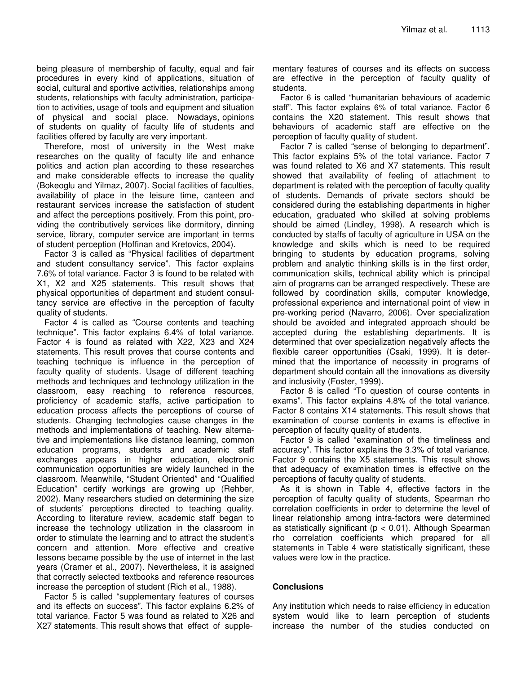being pleasure of membership of faculty, equal and fair procedures in every kind of applications, situation of social, cultural and sportive activities, relationships among students, relationships with faculty administration, participation to activities, usage of tools and equipment and situation of physical and social place. Nowadays, opinions of students on quality of faculty life of students and facilities offered by faculty are very important.

Therefore, most of university in the West make researches on the quality of faculty life and enhance politics and action plan according to these researches and make considerable effects to increase the quality (Bokeoglu and Yilmaz, 2007). Social facilities of faculties, availability of place in the leisure time, canteen and restaurant services increase the satisfaction of student and affect the perceptions positively. From this point, providing the contributively services like dormitory, dinning service, library, computer service are important in terms of student perception (Hoffinan and Kretovics, 2004).

Factor 3 is called as "Physical facilities of department and student consultancy service". This factor explains 7.6% of total variance. Factor 3 is found to be related with X1, X2 and X25 statements. This result shows that physical opportunities of department and student consultancy service are effective in the perception of faculty quality of students.

Factor 4 is called as "Course contents and teaching technique". This factor explains 6.4% of total variance. Factor 4 is found as related with X22, X23 and X24 statements. This result proves that course contents and teaching technique is influence in the perception of faculty quality of students. Usage of different teaching methods and techniques and technology utilization in the classroom, easy reaching to reference resources, proficiency of academic staffs, active participation to education process affects the perceptions of course of students. Changing technologies cause changes in the methods and implementations of teaching. New alternative and implementations like distance learning, common education programs, students and academic staff exchanges appears in higher education, electronic communication opportunities are widely launched in the classroom. Meanwhile, "Student Oriented" and "Qualified Education" certify workings are growing up (Rehber, 2002). Many researchers studied on determining the size of students' perceptions directed to teaching quality. According to literature review, academic staff began to increase the technology utilization in the classroom in order to stimulate the learning and to attract the student's concern and attention. More effective and creative lessons became possible by the use of internet in the last years (Cramer et al., 2007). Nevertheless, it is assigned that correctly selected textbooks and reference resources increase the perception of student (Rich et al., 1988).

Factor 5 is called "supplementary features of courses and its effects on success". This factor explains 6.2% of total variance. Factor 5 was found as related to X26 and X27 statements. This result shows that effect of supplementary features of courses and its effects on success are effective in the perception of faculty quality of students.

Factor 6 is called "humanitarian behaviours of academic staff". This factor explains 6% of total variance. Factor 6 contains the X20 statement. This result shows that behaviours of academic staff are effective on the perception of faculty quality of student.

Factor 7 is called "sense of belonging to department". This factor explains 5% of the total variance. Factor 7 was found related to X6 and X7 statements. This result showed that availability of feeling of attachment to department is related with the perception of faculty quality of students. Demands of private sectors should be considered during the establishing departments in higher education, graduated who skilled at solving problems should be aimed (Lindley, 1998). A research which is conducted by staffs of faculty of agriculture in USA on the knowledge and skills which is need to be required bringing to students by education programs, solving problem and analytic thinking skills is in the first order, communication skills, technical ability which is principal aim of programs can be arranged respectively. These are followed by coordination skills, computer knowledge, professional experience and international point of view in pre-working period (Navarro, 2006). Over specialization should be avoided and integrated approach should be accepted during the establishing departments. It is determined that over specialization negatively affects the flexible career opportunities (Csaki, 1999). It is determined that the importance of necessity in programs of department should contain all the innovations as diversity and inclusivity (Foster, 1999).

Factor 8 is called "To question of course contents in exams". This factor explains 4.8% of the total variance. Factor 8 contains X14 statements. This result shows that examination of course contents in exams is effective in perception of faculty quality of students.

Factor 9 is called "examination of the timeliness and accuracy". This factor explains the 3.3% of total variance. Factor 9 contains the X5 statements. This result shows that adequacy of examination times is effective on the perceptions of faculty quality of students.

As it is shown in Table 4, effective factors in the perception of faculty quality of students, Spearman rho correlation coefficients in order to determine the level of linear relationship among intra-factors were determined as statistically significant ( $p < 0.01$ ). Although Spearman rho correlation coefficients which prepared for all statements in Table 4 were statistically significant, these values were low in the practice.

## **Conclusions**

Any institution which needs to raise efficiency in education system would like to learn perception of students increase the number of the studies conducted on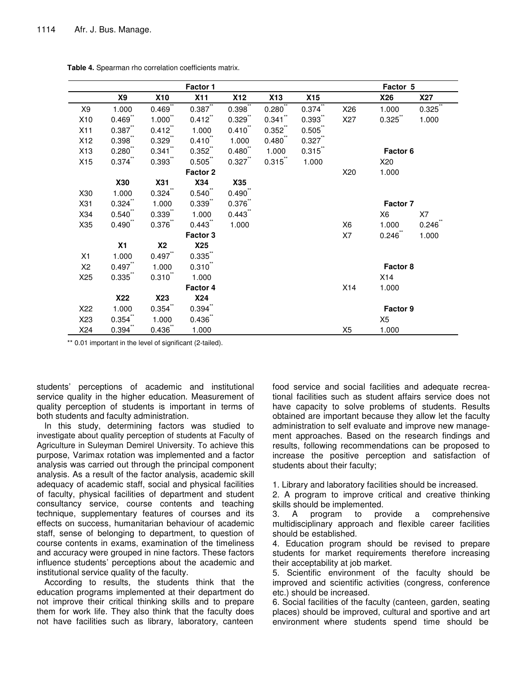|                 |                       |              | Factor 1              |                       |              |                       |                | Factor 5 |              |
|-----------------|-----------------------|--------------|-----------------------|-----------------------|--------------|-----------------------|----------------|----------|--------------|
|                 | <b>X9</b>             | <b>X10</b>   | X11                   | <b>X12</b>            | <b>X13</b>   | X15                   |                | X26      | <b>X27</b>   |
| X9              | 1.000                 | 0.469        | $0.387$ **            | $0.398^{11}$          | $0.280^{11}$ | $0.374$ **            | X26            | 1.000    | $0.325^{11}$ |
| X10             | $0.469$ <sup>**</sup> | $1.000$ **   | 0.412                 | 0.329                 | $0.341$ **   | $0.393$ <sup>**</sup> | X27            | 0.325    | 1.000        |
| X11             | 0.387                 | 0.412        | 1.000                 | $0.410$ "             | 0.352        | 0.505                 |                |          |              |
| X12             | $0.398$ **            | $0.329$ **   | $0.410$ **            | 1.000                 | 0.480        | $0.327$ "             |                |          |              |
| X13             | $0.280$ **            | $0.341$ "    | 0.352                 | $0.480$ <sup>**</sup> | 1.000        | 0.315                 |                | Factor 6 |              |
| X15             | $0.374$ **            | $0.393$ **   | $0.505$ **            | 0.327                 | $0.315$ **   | 1.000                 |                | X20      |              |
|                 |                       |              | Factor 2              |                       |              |                       | X20            | 1.000    |              |
|                 | <b>X30</b>            | <b>X31</b>   | <b>X34</b>            | X35                   |              |                       |                |          |              |
| X30             | 1.000                 | $0.324$ **   | $0.540$ **            | $0.490$ **            |              |                       |                |          |              |
| X31             | $0.324$ **            | 1.000        | $0.339$ **            | $0.376$ **            |              |                       |                | Factor 7 |              |
| X34             | $0.540$ "             | 0.339        | 1.000                 | 0.443                 |              |                       |                | X6       | X7           |
| X35             | $0.490$ **            | 0.376        | 0.443                 | 1.000                 |              |                       | X <sub>6</sub> | 1.000    | 0.246        |
|                 |                       |              | Factor 3              |                       |              |                       | X7             | 0.246    | 1.000        |
|                 | X1                    | <b>X2</b>    | X25                   |                       |              |                       |                |          |              |
| X1              | 1.000                 | 0.497        | $0.335$ "             |                       |              |                       |                |          |              |
| X2              | 0.497                 | 1.000        | $0.310$ <sup>**</sup> |                       |              |                       |                | Factor 8 |              |
| X <sub>25</sub> | 0.335                 | $0.310^{**}$ | 1.000                 |                       |              |                       |                | X14      |              |
|                 |                       |              | Factor 4              |                       |              |                       | X14            | 1.000    |              |
|                 | <b>X22</b>            | X23          | <b>X24</b>            |                       |              |                       |                |          |              |
| X22             | 1.000                 | 0.354        | $0.394$ **            |                       |              |                       |                | Factor 9 |              |
| X23             | $0.354$ **            | 1.000        | 0.436                 |                       |              |                       |                | X5       |              |
| X24             | $0.394$ **            | 0.436        | 1.000                 |                       |              |                       | X <sub>5</sub> | 1.000    |              |

**Table 4.** Spearman rho correlation coefficients matrix.

\*\* 0.01 important in the level of significant (2-tailed).

students' perceptions of academic and institutional service quality in the higher education. Measurement of quality perception of students is important in terms of both students and faculty administration.

In this study, determining factors was studied to investigate about quality perception of students at Faculty of Agriculture in Suleyman Demirel University. To achieve this purpose, Varimax rotation was implemented and a factor analysis was carried out through the principal component analysis. As a result of the factor analysis, academic skill adequacy of academic staff, social and physical facilities of faculty, physical facilities of department and student consultancy service, course contents and teaching technique, supplementary features of courses and its effects on success, humanitarian behaviour of academic staff, sense of belonging to department, to question of course contents in exams, examination of the timeliness and accuracy were grouped in nine factors. These factors influence students' perceptions about the academic and institutional service quality of the faculty.

According to results, the students think that the education programs implemented at their department do not improve their critical thinking skills and to prepare them for work life. They also think that the faculty does not have facilities such as library, laboratory, canteen

food service and social facilities and adequate recreational facilities such as student affairs service does not have capacity to solve problems of students. Results obtained are important because they allow let the faculty administration to self evaluate and improve new management approaches. Based on the research findings and results, following recommendations can be proposed to increase the positive perception and satisfaction of students about their faculty;

1. Library and laboratory facilities should be increased.

2. A program to improve critical and creative thinking skills should be implemented.

3. A program to provide a comprehensive multidisciplinary approach and flexible career facilities should be established.

4. Education program should be revised to prepare students for market requirements therefore increasing their acceptability at job market.

5. Scientific environment of the faculty should be improved and scientific activities (congress, conference etc.) should be increased.

6. Social facilities of the faculty (canteen, garden, seating places) should be improved, cultural and sportive and art environment where students spend time should be